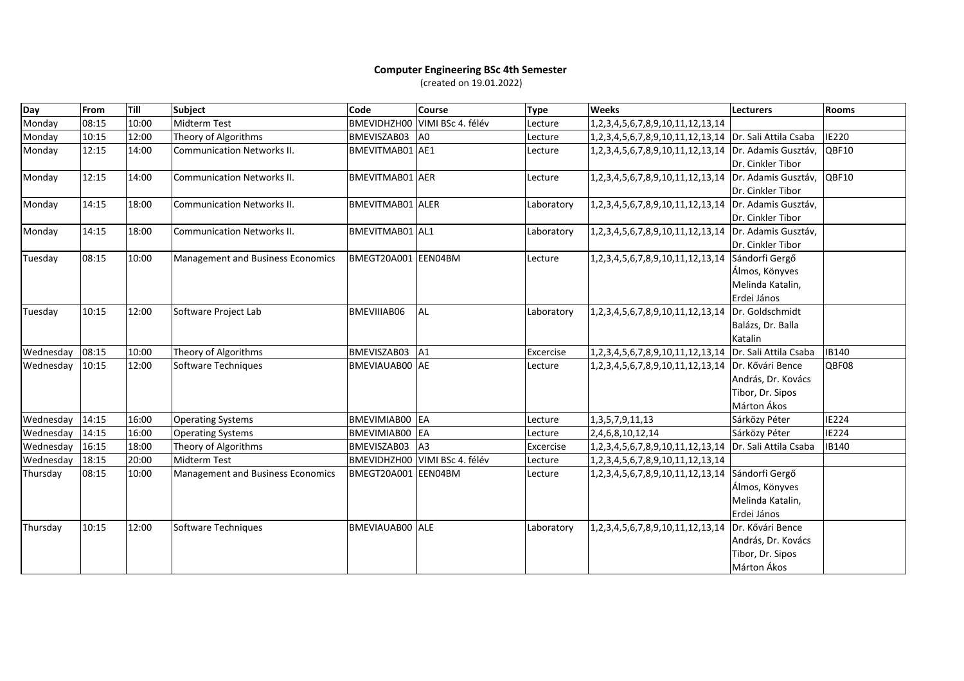## **Computer Engineering BSc 4th Semester** (created on 19.01.2022)

| Day       | <b>From</b> | Till  | Subject                           | Code                    | <b>Course</b>                 | <b>Type</b> | <b>Weeks</b>                                           | Lecturers             | <b>Rooms</b> |
|-----------|-------------|-------|-----------------------------------|-------------------------|-------------------------------|-------------|--------------------------------------------------------|-----------------------|--------------|
| Monday    | 08:15       | 10:00 | Midterm Test                      | <b>BMEVIDHZH00</b>      | VIMI BSc 4. félév             | Lecture     | 1,2,3,4,5,6,7,8,9,10,11,12,13,14                       |                       |              |
| Monday    | 10:15       | 12:00 | Theory of Algorithms              | BMEVISZAB03             | A <sub>0</sub>                | Lecture     | 1,2,3,4,5,6,7,8,9,10,11,12,13,14 Dr. Sali Attila Csaba |                       | <b>IE220</b> |
| Monday    | 12:15       | 14:00 | <b>Communication Networks II.</b> | <b>BMEVITMAB01 AE1</b>  |                               | Lecture     | 1,2,3,4,5,6,7,8,9,10,11,12,13,14   Dr. Adamis Gusztáv, |                       | QBF10        |
|           |             |       |                                   |                         |                               |             |                                                        | Dr. Cinkler Tibor     |              |
| Monday    | 12:15       | 14:00 | <b>Communication Networks II.</b> | <b>BMEVITMAB01</b> AER  |                               | Lecture     | 1,2,3,4,5,6,7,8,9,10,11,12,13,14                       | Dr. Adamis Gusztáv,   | QBF10        |
|           |             |       |                                   |                         |                               |             |                                                        | Dr. Cinkler Tibor     |              |
| Monday    | 14:15       | 18:00 | <b>Communication Networks II.</b> | <b>BMEVITMAB01 ALER</b> |                               | Laboratory  | 1,2,3,4,5,6,7,8,9,10,11,12,13,14                       | Dr. Adamis Gusztáv,   |              |
|           |             |       |                                   |                         |                               |             |                                                        | Dr. Cinkler Tibor     |              |
| Monday    | 14:15       | 18:00 | <b>Communication Networks II.</b> | BMEVITMAB01 AL1         |                               | Laboratory  | 1,2,3,4,5,6,7,8,9,10,11,12,13,14                       | Dr. Adamis Gusztáv,   |              |
|           |             |       |                                   |                         |                               |             |                                                        | Dr. Cinkler Tibor     |              |
| Tuesday   | 08:15       | 10:00 | Management and Business Economics | BMEGT20A001 EEN04BM     |                               | Lecture     | 1,2,3,4,5,6,7,8,9,10,11,12,13,14                       | Sándorfi Gergő        |              |
|           |             |       |                                   |                         |                               |             |                                                        | Álmos, Könyves        |              |
|           |             |       |                                   |                         |                               |             |                                                        | Melinda Katalin,      |              |
|           |             |       |                                   |                         |                               |             |                                                        | Erdei János           |              |
| Tuesday   | 10:15       | 12:00 | Software Project Lab              | BMEVIIIAB06             | <b>AL</b>                     | Laboratory  | 1,2,3,4,5,6,7,8,9,10,11,12,13,14                       | Dr. Goldschmidt       |              |
|           |             |       |                                   |                         |                               |             |                                                        | Balázs, Dr. Balla     |              |
|           |             |       |                                   |                         |                               |             |                                                        | Katalin               |              |
| Wednesday | 08:15       | 10:00 | Theory of Algorithms              | BMEVISZAB03 A1          |                               | Excercise   | 1,2,3,4,5,6,7,8,9,10,11,12,13,14                       | Dr. Sali Attila Csaba | IB140        |
| Wednesday | 10:15       | 12:00 | Software Techniques               | BMEVIAUAB00 AE          |                               | Lecture     | 1,2,3,4,5,6,7,8,9,10,11,12,13,14                       | Dr. Kővári Bence      | QBF08        |
|           |             |       |                                   |                         |                               |             |                                                        | András, Dr. Kovács    |              |
|           |             |       |                                   |                         |                               |             |                                                        | Tibor, Dr. Sipos      |              |
|           |             |       |                                   |                         |                               |             |                                                        | Márton Ákos           |              |
| Wednesday | 14:15       | 16:00 | <b>Operating Systems</b>          | BMEVIMIAB00 EA          |                               | Lecture     | 1, 3, 5, 7, 9, 11, 13                                  | Sárközy Péter         | <b>IE224</b> |
| Wednesday | 14:15       | 16:00 | <b>Operating Systems</b>          | BMEVIMIAB00 EA          |                               | Lecture     | 2,4,6,8,10,12,14                                       | Sárközy Péter         | <b>IE224</b> |
| Wednesday | 16:15       | 18:00 | Theory of Algorithms              | BMEVISZAB03 A3          |                               | Excercise   | 1,2,3,4,5,6,7,8,9,10,11,12,13,14                       | Dr. Sali Attila Csaba | <b>IB140</b> |
| Wednesday | 18:15       | 20:00 | <b>Midterm Test</b>               |                         | BMEVIDHZHOO VIMI BSc 4. félév | Lecture     | 1, 2, 3, 4, 5, 6, 7, 8, 9, 10, 11, 12, 13, 14          |                       |              |
| Thursday  | 08:15       | 10:00 | Management and Business Economics | BMEGT20A001 EEN04BM     |                               | Lecture     | 1, 2, 3, 4, 5, 6, 7, 8, 9, 10, 11, 12, 13, 14          | Sándorfi Gergő        |              |
|           |             |       |                                   |                         |                               |             |                                                        | Álmos, Könyves        |              |
|           |             |       |                                   |                         |                               |             |                                                        | Melinda Katalin,      |              |
|           |             |       |                                   |                         |                               |             |                                                        | Erdei János           |              |
| Thursday  | 10:15       | 12:00 | Software Techniques               | <b>BMEVIAUAB00 ALE</b>  |                               | Laboratory  | 1, 2, 3, 4, 5, 6, 7, 8, 9, 10, 11, 12, 13, 14          | Dr. Kővári Bence      |              |
|           |             |       |                                   |                         |                               |             |                                                        | András, Dr. Kovács    |              |
|           |             |       |                                   |                         |                               |             |                                                        | Tibor, Dr. Sipos      |              |
|           |             |       |                                   |                         |                               |             |                                                        | Márton Ákos           |              |